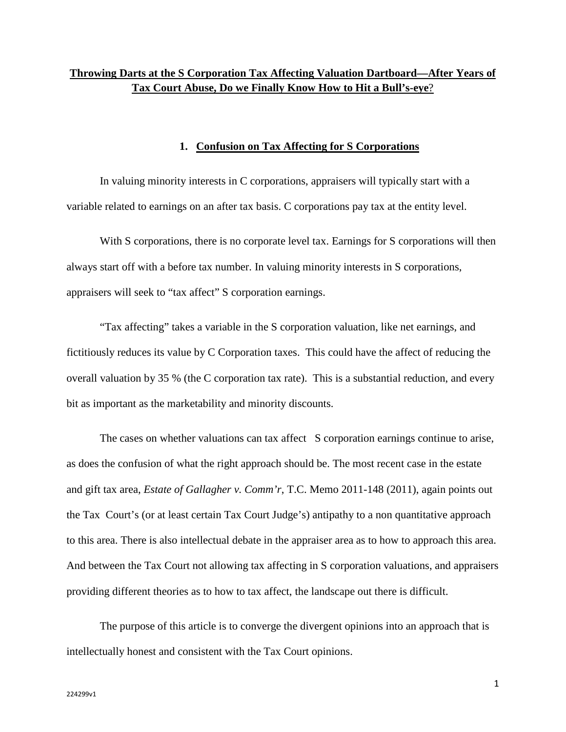# **Throwing Darts at the S Corporation Tax Affecting Valuation Dartboard—After Years of Tax Court Abuse, Do we Finally Know How to Hit a Bull's-eye**?

## **1. Confusion on Tax Affecting for S Corporations**

In valuing minority interests in C corporations, appraisers will typically start with a variable related to earnings on an after tax basis. C corporations pay tax at the entity level.

With S corporations, there is no corporate level tax. Earnings for S corporations will then always start off with a before tax number. In valuing minority interests in S corporations, appraisers will seek to "tax affect" S corporation earnings.

"Tax affecting" takes a variable in the S corporation valuation, like net earnings, and fictitiously reduces its value by C Corporation taxes. This could have the affect of reducing the overall valuation by 35 % (the C corporation tax rate). This is a substantial reduction, and every bit as important as the marketability and minority discounts.

The cases on whether valuations can tax affect S corporation earnings continue to arise, as does the confusion of what the right approach should be. The most recent case in the estate and gift tax area, *Estate of Gallagher v. Comm'r*, T.C. Memo 2011-148 (2011), again points out the Tax Court's (or at least certain Tax Court Judge's) antipathy to a non quantitative approach to this area. There is also intellectual debate in the appraiser area as to how to approach this area. And between the Tax Court not allowing tax affecting in S corporation valuations, and appraisers providing different theories as to how to tax affect, the landscape out there is difficult.

The purpose of this article is to converge the divergent opinions into an approach that is intellectually honest and consistent with the Tax Court opinions.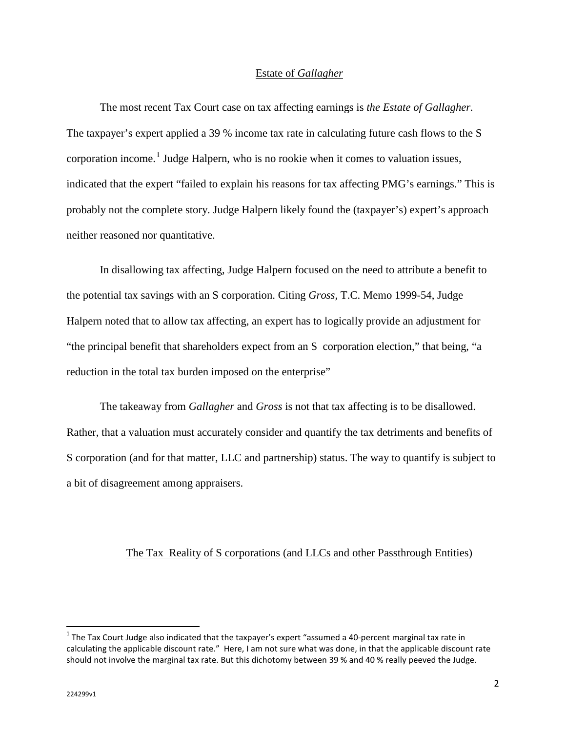## Estate of *Gallagher*

The most recent Tax Court case on tax affecting earnings is *the Estate of Gallagher.*  The taxpayer's expert applied a 39 % income tax rate in calculating future cash flows to the S corporation income.<sup>[1](#page-1-0)</sup> Judge Halpern, who is no rookie when it comes to valuation issues, indicated that the expert "failed to explain his reasons for tax affecting PMG's earnings." This is probably not the complete story. Judge Halpern likely found the (taxpayer's) expert's approach neither reasoned nor quantitative.

In disallowing tax affecting, Judge Halpern focused on the need to attribute a benefit to the potential tax savings with an S corporation. Citing *Gross,* T.C. Memo 1999-54, Judge Halpern noted that to allow tax affecting, an expert has to logically provide an adjustment for "the principal benefit that shareholders expect from an S corporation election," that being, "a reduction in the total tax burden imposed on the enterprise"

The takeaway from *Gallagher* and *Gross* is not that tax affecting is to be disallowed. Rather, that a valuation must accurately consider and quantify the tax detriments and benefits of S corporation (and for that matter, LLC and partnership) status. The way to quantify is subject to a bit of disagreement among appraisers.

#### The Tax Reality of S corporations (and LLCs and other Passthrough Entities)

l

<span id="page-1-0"></span> $1$  The Tax Court Judge also indicated that the taxpayer's expert "assumed a 40-percent marginal tax rate in calculating the applicable discount rate." Here, I am not sure what was done, in that the applicable discount rate should not involve the marginal tax rate. But this dichotomy between 39 % and 40 % really peeved the Judge.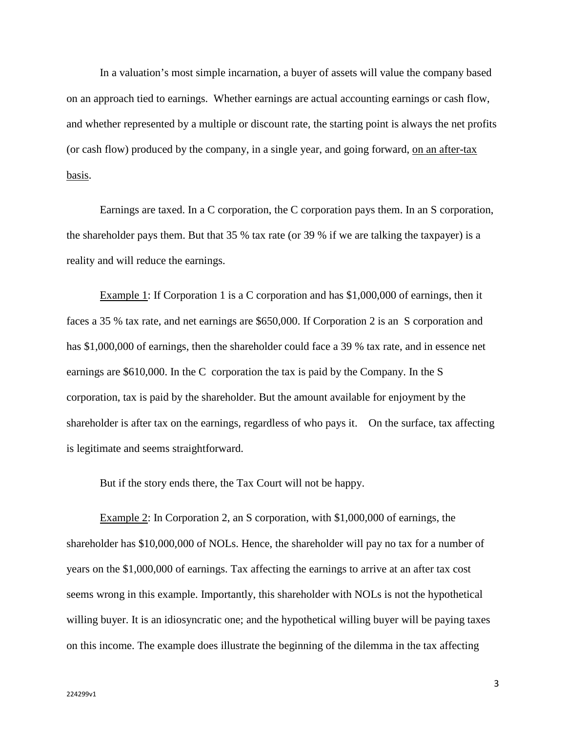In a valuation's most simple incarnation, a buyer of assets will value the company based on an approach tied to earnings. Whether earnings are actual accounting earnings or cash flow, and whether represented by a multiple or discount rate, the starting point is always the net profits (or cash flow) produced by the company, in a single year, and going forward, on an after-tax basis.

Earnings are taxed. In a C corporation, the C corporation pays them. In an S corporation, the shareholder pays them. But that 35 % tax rate (or 39 % if we are talking the taxpayer) is a reality and will reduce the earnings.

Example 1: If Corporation 1 is a C corporation and has \$1,000,000 of earnings, then it faces a 35 % tax rate, and net earnings are \$650,000. If Corporation 2 is an S corporation and has \$1,000,000 of earnings, then the shareholder could face a 39 % tax rate, and in essence net earnings are \$610,000. In the C corporation the tax is paid by the Company. In the S corporation, tax is paid by the shareholder. But the amount available for enjoyment by the shareholder is after tax on the earnings, regardless of who pays it. On the surface, tax affecting is legitimate and seems straightforward.

But if the story ends there, the Tax Court will not be happy.

Example 2: In Corporation 2, an S corporation, with \$1,000,000 of earnings, the shareholder has \$10,000,000 of NOLs. Hence, the shareholder will pay no tax for a number of years on the \$1,000,000 of earnings. Tax affecting the earnings to arrive at an after tax cost seems wrong in this example. Importantly, this shareholder with NOLs is not the hypothetical willing buyer. It is an idiosyncratic one; and the hypothetical willing buyer will be paying taxes on this income. The example does illustrate the beginning of the dilemma in the tax affecting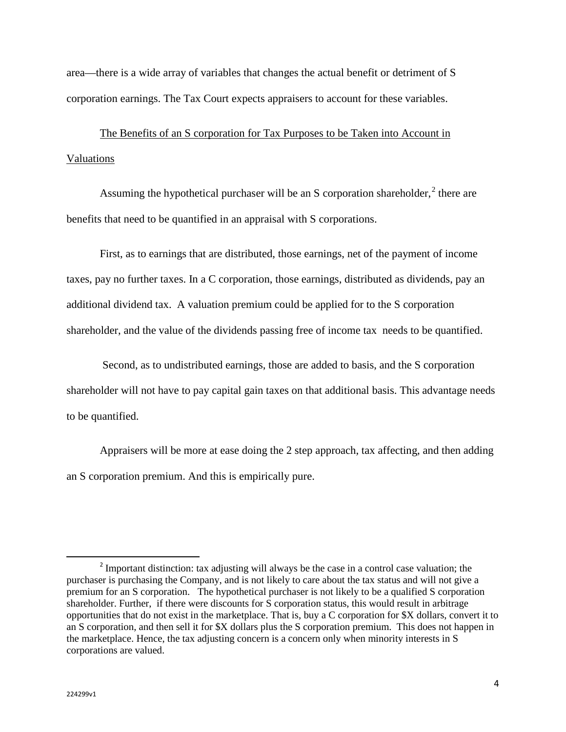area—there is a wide array of variables that changes the actual benefit or detriment of S corporation earnings. The Tax Court expects appraisers to account for these variables.

The Benefits of an S corporation for Tax Purposes to be Taken into Account in Valuations

Assuming the hypothetical purchaser will be an S corporation shareholder,  $2$  there are benefits that need to be quantified in an appraisal with S corporations.

First, as to earnings that are distributed, those earnings, net of the payment of income taxes, pay no further taxes. In a C corporation, those earnings, distributed as dividends, pay an additional dividend tax. A valuation premium could be applied for to the S corporation shareholder, and the value of the dividends passing free of income tax needs to be quantified.

Second, as to undistributed earnings, those are added to basis, and the S corporation shareholder will not have to pay capital gain taxes on that additional basis. This advantage needs to be quantified.

Appraisers will be more at ease doing the 2 step approach, tax affecting, and then adding an S corporation premium. And this is empirically pure.

l

<span id="page-3-0"></span><sup>2</sup> Important distinction: tax adjusting will always be the case in a control case valuation; the purchaser is purchasing the Company, and is not likely to care about the tax status and will not give a premium for an S corporation. The hypothetical purchaser is not likely to be a qualified S corporation shareholder. Further, if there were discounts for S corporation status, this would result in arbitrage opportunities that do not exist in the marketplace. That is, buy a C corporation for \$X dollars, convert it to an S corporation, and then sell it for \$X dollars plus the S corporation premium. This does not happen in the marketplace. Hence, the tax adjusting concern is a concern only when minority interests in S corporations are valued.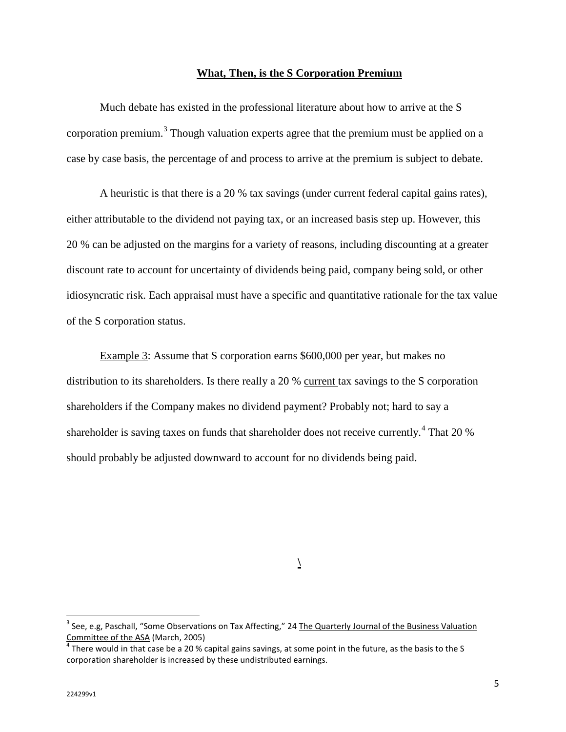## **What, Then, is the S Corporation Premium**

Much debate has existed in the professional literature about how to arrive at the S corporation premium.<sup>[3](#page-4-0)</sup> Though valuation experts agree that the premium must be applied on a case by case basis, the percentage of and process to arrive at the premium is subject to debate.

A heuristic is that there is a 20 % tax savings (under current federal capital gains rates), either attributable to the dividend not paying tax, or an increased basis step up. However, this 20 % can be adjusted on the margins for a variety of reasons, including discounting at a greater discount rate to account for uncertainty of dividends being paid, company being sold, or other idiosyncratic risk. Each appraisal must have a specific and quantitative rationale for the tax value of the S corporation status.

Example 3: Assume that S corporation earns \$600,000 per year, but makes no distribution to its shareholders. Is there really a 20 % current tax savings to the S corporation shareholders if the Company makes no dividend payment? Probably not; hard to say a shareholder is saving taxes on funds that shareholder does not receive currently.<sup>[4](#page-4-1)</sup> That 20 % should probably be adjusted downward to account for no dividends being paid.

**\**

 $\overline{\phantom{a}}$ 

<span id="page-4-0"></span><sup>&</sup>lt;sup>3</sup> See, e.g, Paschall, "Some Observations on Tax Affecting," 24 The Quarterly Journal of the Business Valuation Committee of the ASA (March, 2005)<br> $^4$  There would in that case be a 20 % capital gains savings, at some point in the future, as the basis to the S

<span id="page-4-1"></span>corporation shareholder is increased by these undistributed earnings.